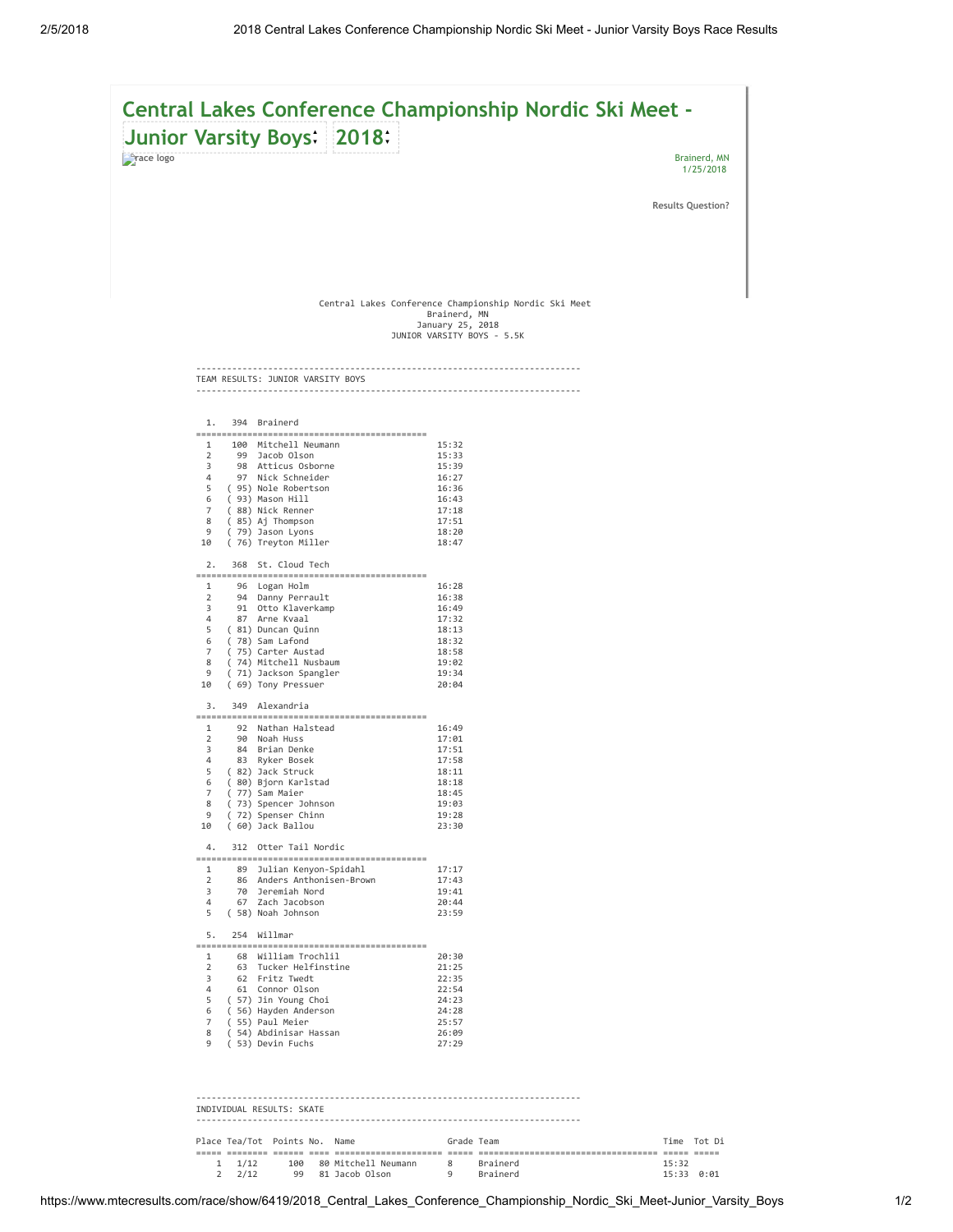

| Place Tea/Tot Points No. Name |  |                         | Grade Team |          |                | Time Tot Di |
|-------------------------------|--|-------------------------|------------|----------|----------------|-------------|
|                               |  |                         |            |          |                |             |
| $1 \t1/12$                    |  | 100 80 Mitchell Neumann | -8         | Brainerd | 15:32          |             |
| $2 \frac{2}{12}$              |  | 99 81 Jacob Olson       |            | Brainerd | $15:33$ $0:01$ |             |